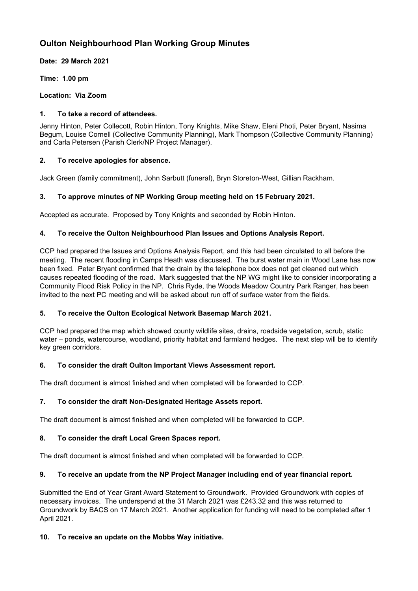# **Oulton Neighbourhood Plan Working Group Minutes**

**Date: 29 March 2021**

**Time: 1.00 pm**

**Location: Via Zoom**

### **1. To take a record of attendees.**

Jenny Hinton, Peter Collecott, Robin Hinton, Tony Knights, Mike Shaw, Eleni Photi, Peter Bryant, Nasima Begum, Louise Cornell (Collective Community Planning), Mark Thompson (Collective Community Planning) and Carla Petersen (Parish Clerk/NP Project Manager).

### **2. To receive apologies for absence.**

Jack Green (family commitment), John Sarbutt (funeral), Bryn Storeton-West, Gillian Rackham.

# **3. To approve minutes of NP Working Group meeting held on 15 February 2021.**

Accepted as accurate. Proposed by Tony Knights and seconded by Robin Hinton.

### **4. To receive the Oulton Neighbourhood Plan Issues and Options Analysis Report.**

CCP had prepared the Issues and Options Analysis Report, and this had been circulated to all before the meeting. The recent flooding in Camps Heath was discussed. The burst water main in Wood Lane has now been fixed. Peter Bryant confirmed that the drain by the telephone box does not get cleaned out which causes repeated flooding of the road. Mark suggested that the NP WG might like to consider incorporating a Community Flood Risk Policy in the NP. Chris Ryde, the Woods Meadow Country Park Ranger, has been invited to the next PC meeting and will be asked about run off of surface water from the fields.

#### **5. To receive the Oulton Ecological Network Basemap March 2021.**

CCP had prepared the map which showed county wildlife sites, drains, roadside vegetation, scrub, static water – ponds, watercourse, woodland, priority habitat and farmland hedges. The next step will be to identify key green corridors.

#### **6. To consider the draft Oulton Important Views Assessment report.**

The draft document is almost finished and when completed will be forwarded to CCP.

# **7. To consider the draft Non-Designated Heritage Assets report.**

The draft document is almost finished and when completed will be forwarded to CCP.

# **8. To consider the draft Local Green Spaces report.**

The draft document is almost finished and when completed will be forwarded to CCP.

# **9. To receive an update from the NP Project Manager including end of year financial report.**

Submitted the End of Year Grant Award Statement to Groundwork. Provided Groundwork with copies of necessary invoices. The underspend at the 31 March 2021 was £243.32 and this was returned to Groundwork by BACS on 17 March 2021. Another application for funding will need to be completed after 1 April 2021.

# **10. To receive an update on the Mobbs Way initiative.**